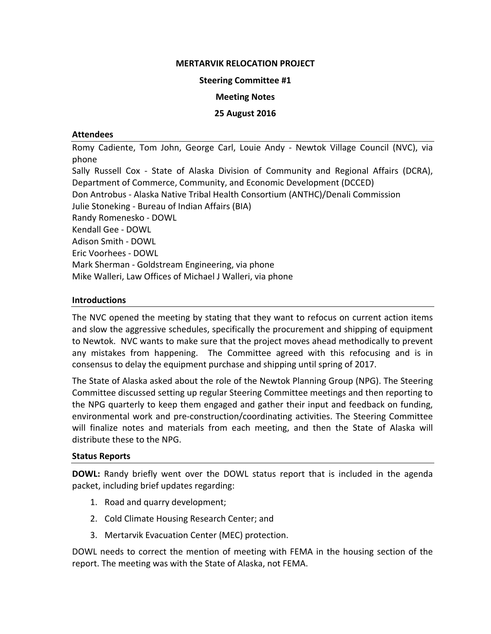### **MERTARVIK RELOCATION PROJECT**

#### **Steering Committee #1**

### **Meeting Notes**

### **25 August 2016**

#### **Attendees**

Romy Cadiente, Tom John, George Carl, Louie Andy ‐ Newtok Village Council (NVC), via phone Sally Russell Cox - State of Alaska Division of Community and Regional Affairs (DCRA), Department of Commerce, Community, and Economic Development (DCCED) Don Antrobus ‐ Alaska Native Tribal Health Consortium (ANTHC)/Denali Commission Julie Stoneking ‐ Bureau of Indian Affairs (BIA) Randy Romenesko ‐ DOWL Kendall Gee ‐ DOWL Adison Smith ‐ DOWL Eric Voorhees ‐ DOWL Mark Sherman ‐ Goldstream Engineering, via phone Mike Walleri, Law Offices of Michael J Walleri, via phone

# **Introductions**

The NVC opened the meeting by stating that they want to refocus on current action items and slow the aggressive schedules, specifically the procurement and shipping of equipment to Newtok. NVC wants to make sure that the project moves ahead methodically to prevent any mistakes from happening. The Committee agreed with this refocusing and is in consensus to delay the equipment purchase and shipping until spring of 2017.

The State of Alaska asked about the role of the Newtok Planning Group (NPG). The Steering Committee discussed setting up regular Steering Committee meetings and then reporting to the NPG quarterly to keep them engaged and gather their input and feedback on funding, environmental work and pre‐construction/coordinating activities. The Steering Committee will finalize notes and materials from each meeting, and then the State of Alaska will distribute these to the NPG.

#### **Status Reports**

**DOWL:** Randy briefly went over the DOWL status report that is included in the agenda packet, including brief updates regarding:

- 1. Road and quarry development;
- 2. Cold Climate Housing Research Center; and
- 3. Mertarvik Evacuation Center (MEC) protection.

DOWL needs to correct the mention of meeting with FEMA in the housing section of the report. The meeting was with the State of Alaska, not FEMA.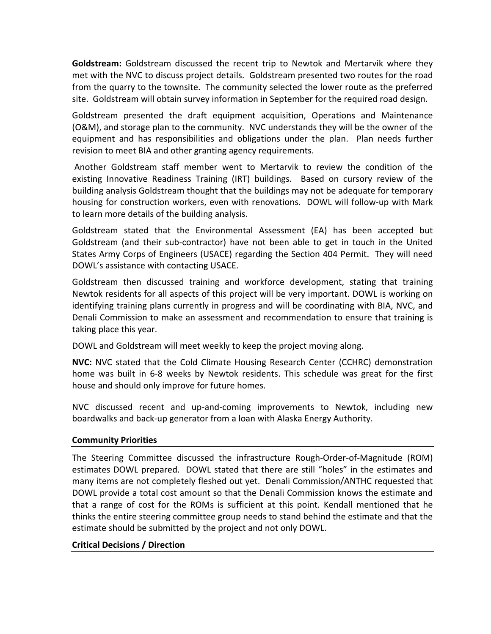**Goldstream:** Goldstream discussed the recent trip to Newtok and Mertarvik where they met with the NVC to discuss project details. Goldstream presented two routes for the road from the quarry to the townsite. The community selected the lower route as the preferred site. Goldstream will obtain survey information in September for the required road design.

Goldstream presented the draft equipment acquisition, Operations and Maintenance (O&M), and storage plan to the community. NVC understands they will be the owner of the equipment and has responsibilities and obligations under the plan. Plan needs further revision to meet BIA and other granting agency requirements.

Another Goldstream staff member went to Mertarvik to review the condition of the existing Innovative Readiness Training (IRT) buildings. Based on cursory review of the building analysis Goldstream thought that the buildings may not be adequate for temporary housing for construction workers, even with renovations. DOWL will follow‐up with Mark to learn more details of the building analysis.

Goldstream stated that the Environmental Assessment (EA) has been accepted but Goldstream (and their sub‐contractor) have not been able to get in touch in the United States Army Corps of Engineers (USACE) regarding the Section 404 Permit. They will need DOWL's assistance with contacting USACE.

Goldstream then discussed training and workforce development, stating that training Newtok residents for all aspects of this project will be very important. DOWL is working on identifying training plans currently in progress and will be coordinating with BIA, NVC, and Denali Commission to make an assessment and recommendation to ensure that training is taking place this year.

DOWL and Goldstream will meet weekly to keep the project moving along.

**NVC:** NVC stated that the Cold Climate Housing Research Center (CCHRC) demonstration home was built in 6‐8 weeks by Newtok residents. This schedule was great for the first house and should only improve for future homes.

NVC discussed recent and up‐and‐coming improvements to Newtok, including new boardwalks and back‐up generator from a loan with Alaska Energy Authority.

# **Community Priorities**

The Steering Committee discussed the infrastructure Rough‐Order‐of‐Magnitude (ROM) estimates DOWL prepared. DOWL stated that there are still "holes" in the estimates and many items are not completely fleshed out yet. Denali Commission/ANTHC requested that DOWL provide a total cost amount so that the Denali Commission knows the estimate and that a range of cost for the ROMs is sufficient at this point. Kendall mentioned that he thinks the entire steering committee group needs to stand behind the estimate and that the estimate should be submitted by the project and not only DOWL.

# **Critical Decisions / Direction**